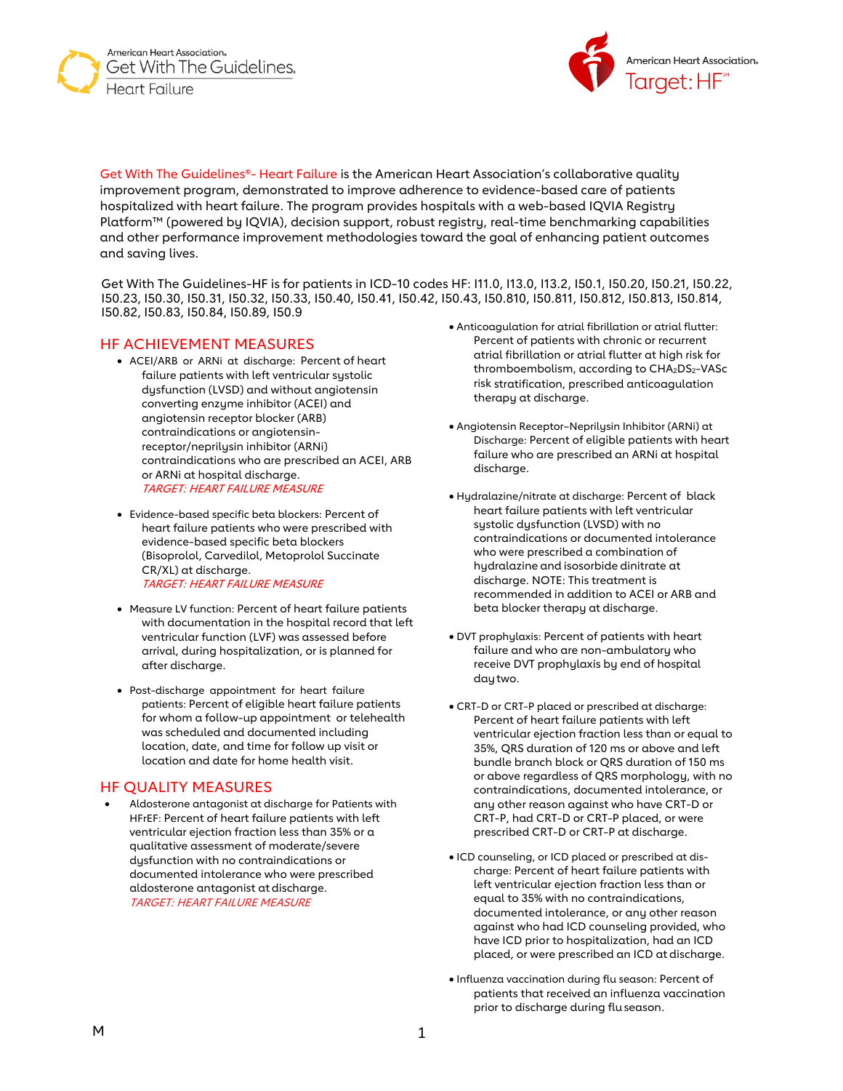American Heart Association. Get With The Guidelines. Heart Failure



Get With The Guidelines®- Heart Failure is the American Heart Association's collaborative quality improvement program, demonstrated to improve adherence to evidence-based care of patients hospitalized with heart failure. The program provides hospitals with a web-based IQVIA Registry Platform™ (powered by IQVIA), decision support, robust registry, real-time benchmarking capabilities and other performance improvement methodologies toward the goal of enhancing patient outcomes and saving lives.

Get With The Guidelines-HF is for patients in ICD-10 codes HF: I11.0, I13.0, I13.2, I50.1, I50.20, I50.21, I50.22, I50.23, I50.30, I50.31, I50.32, I50.33, I50.40, I50.41, I50.42, I50.43, I50.810, I50.811, I50.812, I50.813, I50.814, I50.82, I50.83, I50.84, I50.89, I50.9

### HF ACHIEVEMENT MEASURES

- ACEI/ARB or ARNi at discharge: Percent of heart failure patients with left ventricular systolic dysfunction (LVSD) and without angiotensin converting enzyme inhibitor (ACEI) and angiotensin receptor blocker (ARB) contraindications or angiotensinreceptor/neprilysin inhibitor (ARNi) contraindications who are prescribed an ACEI, ARB or ARNi at hospital discharge. TARGET: HEART FAILURE MEASURE
- Evidence-based specific beta blockers: Percent of heart failure patients who were prescribed with evidence-based specific beta blockers (Bisoprolol, Carvedilol, Metoprolol Succinate CR/XL) at discharge. TARGET: HEART FAILURE MEASURE
- Measure LV function: Percent of heart failure patients with documentation in the hospital record that left ventricular function (LVF) was assessed before arrival, during hospitalization, or is planned for after discharge.
- Post-discharge appointment for heart failure patients: Percent of eligible heart failure patients for whom a follow-up appointment or telehealth was scheduled and documented including location, date, and time for follow up visit or location and date for home health visit.

### HF QUALITY MEASURES

Aldosterone antagonist at discharge for Patients with HFrEF: Percent of heart failure patients with left ventricular ejection fraction less than 35% or a qualitative assessment of moderate/severe dysfunction with no contraindications or documented intolerance who were prescribed aldosterone antagonist at discharge. TARGET: HEART FAILURE MEASURE

- Anticoagulation for atrial fibrillation or atrial flutter: Percent of patients with chronic or recurrent atrial fibrillation or atrial flutter at high risk for thromboembolism, according to CHA<sub>2</sub>DS<sub>2</sub>-VASc risk stratification, prescribed anticoagulation therapy at discharge.
- Angiotensin Receptor–Neprilysin Inhibitor (ARNi) at Discharge: Percent of eligible patients with heart failure who are prescribed an ARNi at hospital discharge.
- Hydralazine/nitrate at discharge: Percent of black heart failure patients with left ventricular systolic dysfunction (LVSD) with no contraindications or documented intolerance who were prescribed a combination of hydralazine and isosorbide dinitrate at discharge. NOTE: This treatment is recommended in addition to ACEI or ARB and beta blocker therapy at discharge.
- DVT prophylaxis: Percent of patients with heart failure and who are non-ambulatory who receive DVT prophylaxis by end of hospital daytwo.
- CRT-D or CRT-P placed or prescribed at discharge: Percent of heart failure patients with left ventricular ejection fraction less than or equal to 35%, QRS duration of 120 ms or above and left bundle branch block or QRS duration of 150 ms or above regardless of QRS morphology, with no contraindications, documented intolerance, or any other reason against who have CRT-D or CRT-P, had CRT-D or CRT-P placed, or were prescribed CRT-D or CRT-P at discharge.
- ICD counseling, or ICD placed or prescribed at discharge: Percent of heart failure patients with left ventricular ejection fraction less than or equal to 35% with no contraindications, documented intolerance, or any other reason against who had ICD counseling provided, who have ICD prior to hospitalization, had an ICD placed, or were prescribed an ICD at discharge.
- Influenza vaccination during flu season: Percent of patients that received an influenza vaccination prior to discharge during fluseason.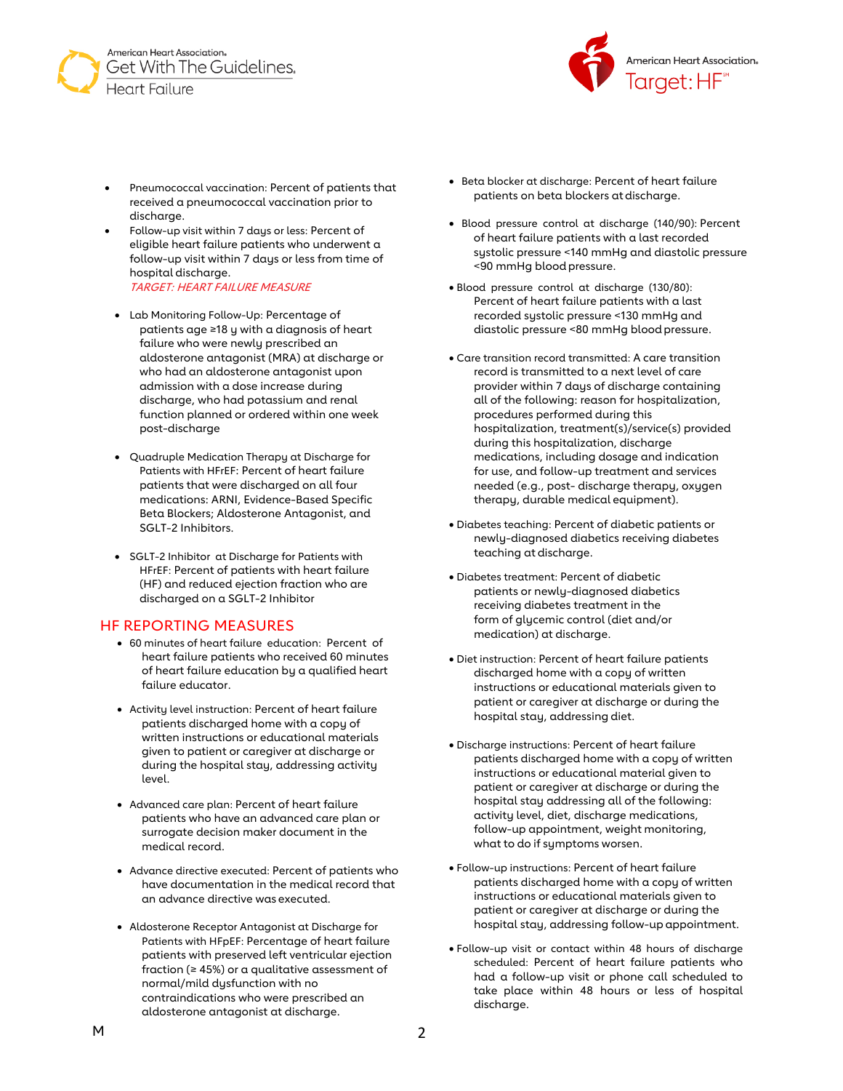



- Pneumococcal vaccination: Percent of patients that received a pneumococcal vaccination prior to discharge.
- Follow-up visit within 7 days or less: Percent of eligible heart failure patients who underwent a follow-up visit within 7 days or less from time of hospital discharge. TARGET: HEART FAILURE MEASURE
- Lab Monitoring Follow-Up: Percentage of patients age ≥18 y with a diagnosis of heart failure who were newly prescribed an aldosterone antagonist (MRA) at discharge or who had an aldosterone antagonist upon admission with a dose increase during discharge, who had potassium and renal function planned or ordered within one week post-discharge
- Quadruple Medication Therapy at Discharge for Patients with HFrEF: Percent of heart failure patients that were discharged on all four medications: ARNI, Evidence-Based Specific Beta Blockers; Aldosterone Antagonist, and SGLT-2 Inhibitors.
- SGLT-2 Inhibitor at Discharge for Patients with HFrEF: Percent of patients with heart failure (HF) and reduced ejection fraction who are discharged on a SGLT-2 Inhibitor

### HF REPORTING MEASURES

- 60 minutes of heart failure education: Percent of heart failure patients who received 60 minutes of heart failure education by a qualified heart failure educator.
- Activity level instruction: Percent of heart failure patients discharged home with a copy of written instructions or educational materials given to patient or caregiver at discharge or during the hospital stay, addressing activity level.
- Advanced care plan: Percent of heart failure patients who have an advanced care plan or surrogate decision maker document in the medical record.
- Advance directive executed: Percent of patients who have documentation in the medical record that an advance directive was executed.
- Aldosterone Receptor Antagonist at Discharge for Patients with HFpEF: Percentage of heart failure patients with preserved left ventricular ejection fraction ( $\geq 45\%$ ) or a qualitative assessment of normal/mild dysfunction with no contraindications who were prescribed an aldosterone antagonist at discharge.
- Beta blocker at discharge: Percent of heart failure patients on beta blockers at discharge.
- Blood pressure control at discharge (140/90): Percent of heart failure patients with a last recorded systolic pressure <140 mmHg and diastolic pressure <90 mmHg bloodpressure.
- Blood pressure control at discharge (130/80): Percent of heart failure patients with a last recorded systolic pressure <130 mmHg and diastolic pressure <80 mmHg bloodpressure.
- Care transition record transmitted: A care transition record is transmitted to a next level of care provider within 7 days of discharge containing all of the following: reason for hospitalization, procedures performed during this hospitalization, treatment(s)/service(s) provided during this hospitalization, discharge medications, including dosage and indication for use, and follow-up treatment and services needed (e.g., post- discharge therapy, oxygen therapy, durable medical equipment).
- Diabetes teaching: Percent of diabetic patients or newly-diagnosed diabetics receiving diabetes teaching at discharge.
- Diabetes treatment: Percent of diabetic patients or newly-diagnosed diabetics receiving diabetes treatment in the form of glycemic control (diet and/or medication) at discharge.
- Diet instruction: Percent of heart failure patients discharged home with a copy of written instructions or educational materials given to patient or caregiver at discharge or during the hospital stay, addressing diet.
- Discharge instructions: Percent of heart failure patients discharged home with a copy of written instructions or educational material given to patient or caregiver at discharge or during the hospital stay addressing all of the following: activity level, diet, discharge medications, follow-up appointment, weight monitoring, what to do if symptoms worsen.
- Follow-up instructions: Percent of heart failure patients discharged home with a copy of written instructions or educational materials given to patient or caregiver at discharge or during the hospital stay, addressing follow-up appointment.
- Follow-up visit or contact within 48 hours of discharge scheduled: Percent of heart failure patients who had a follow-up visit or phone call scheduled to take place within 48 hours or less of hospital discharge.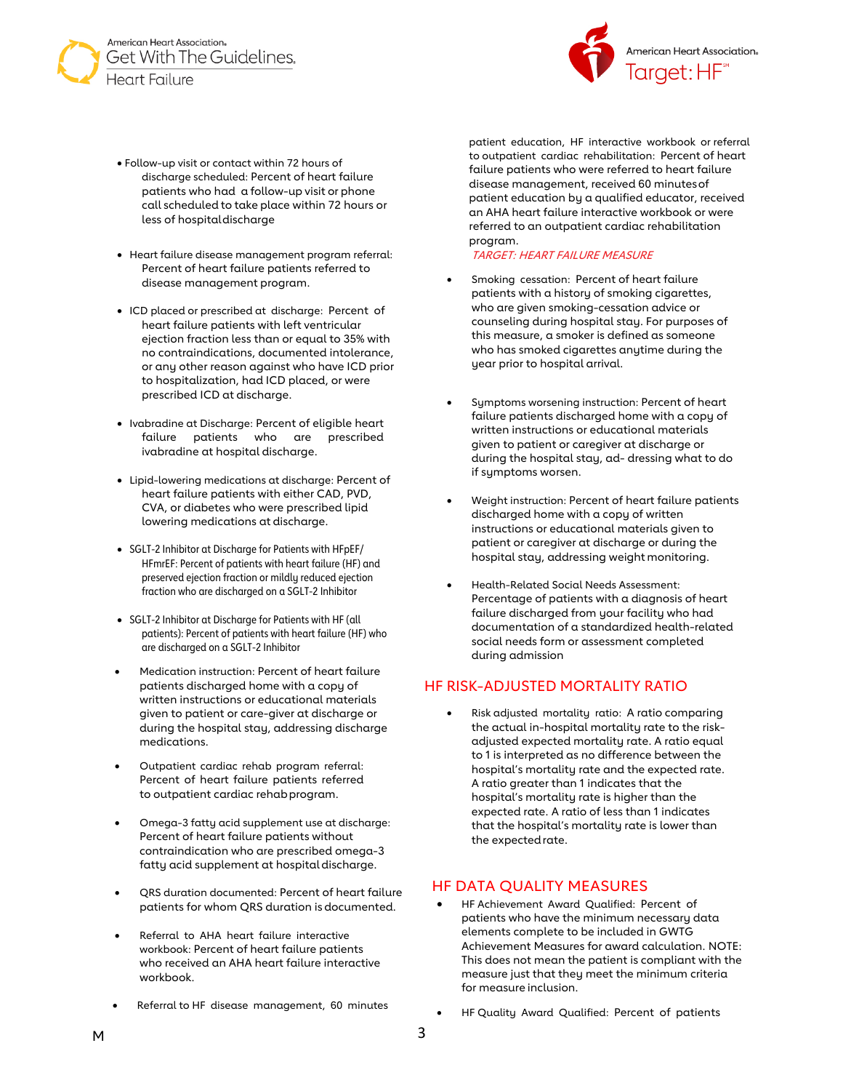



- Follow-up visit or contact within 72 hours of discharge scheduled: Percent of heart failure patients who had a follow-up visit or phone call scheduled to take place within 72 hours or less of hospitaldischarge
- Heart failure disease management program referral: Percent of heart failure patients referred to disease management program.
- ICD placed or prescribed at discharge: Percent of heart failure patients with left ventricular ejection fraction less than or equal to 35% with no contraindications, documented intolerance, or any other reason against who have ICD prior to hospitalization, had ICD placed, or were prescribed ICD at discharge.
- Ivabradine at Discharge: Percent of eligible heart failure patients who are prescribed ivabradine at hospital discharge.
- Lipid-lowering medications at discharge: Percent of heart failure patients with either CAD, PVD, CVA, or diabetes who were prescribed lipid lowering medications at discharge.
- SGLT-2 Inhibitor at Discharge for Patients with HFpEF/ HFmrEF: Percent of patients with heart failure (HF) and preserved ejection fraction or mildly reduced ejection fraction who are discharged on a SGLT-2 Inhibitor
- SGLT-2 Inhibitor at Discharge for Patients with HF (all patients): Percent of patients with heart failure (HF) who are discharged on a SGLT-2 Inhibitor
- Medication instruction: Percent of heart failure patients discharged home with a copy of written instructions or educational materials given to patient or care-giver at discharge or during the hospital stay, addressing discharge medications.
- Outpatient cardiac rehab program referral: Percent of heart failure patients referred to outpatient cardiac rehabprogram.
- Omega-3 fatty acid supplement use at discharge: Percent of heart failure patients without contraindication who are prescribed omega-3 fatty acid supplement at hospital discharge.
- QRS duration documented: Percent of heart failure patients for whom QRS duration isdocumented.
- Referral to AHA heart failure interactive workbook: Percent of heart failure patients who received an AHA heart failure interactive workbook.
- Referral to HF disease management, 60 minutes

patient education, HF interactive workbook or referral to outpatient cardiac rehabilitation: Percent of heart failure patients who were referred to heart failure disease management, received 60 minutesof patient education by a qualified educator, received an AHA heart failure interactive workbook or were referred to an outpatient cardiac rehabilitation program.

#### TARGET: HEART FAILURE MEASURE

- Smoking cessation: Percent of heart failure patients with a history of smoking cigarettes, who are given smoking-cessation advice or counseling during hospital stay. For purposes of this measure, a smoker is defined as someone who has smoked cigarettes anytime during the year prior to hospital arrival.
- Symptoms worsening instruction: Percent of heart failure patients discharged home with a copy of written instructions or educational materials given to patient or caregiver at discharge or during the hospital stay, ad- dressing what to do if symptoms worsen.
- Weight instruction: Percent of heart failure patients discharged home with a copy of written instructions or educational materials given to patient or caregiver at discharge or during the hospital stay, addressing weight monitoring.
- Health-Related Social Needs Assessment: Percentage of patients with a diagnosis of heart failure discharged from your facility who had documentation of a standardized health-related social needs form or assessment completed during admission

### HF RISK-ADJUSTED MORTALITY RATIO

• Risk adjusted mortality ratio: A ratio comparing the actual in-hospital mortality rate to the riskadjusted expected mortality rate. A ratio equal to 1 is interpreted as no difference between the hospital's mortality rate and the expected rate. A ratio greater than 1 indicates that the hospital's mortality rate is higher than the expected rate. A ratio of less than 1 indicates that the hospital's mortality rate is lower than the expectedrate.

### HF DATA QUALITY MEASURES

- HF Achievement Award Qualified: Percent of patients who have the minimum necessary data elements complete to be included in GWTG Achievement Measures for award calculation. NOTE: This does not mean the patient is compliant with the measure just that they meet the minimum criteria for measure inclusion.
- HF Quality Award Qualified: Percent of patients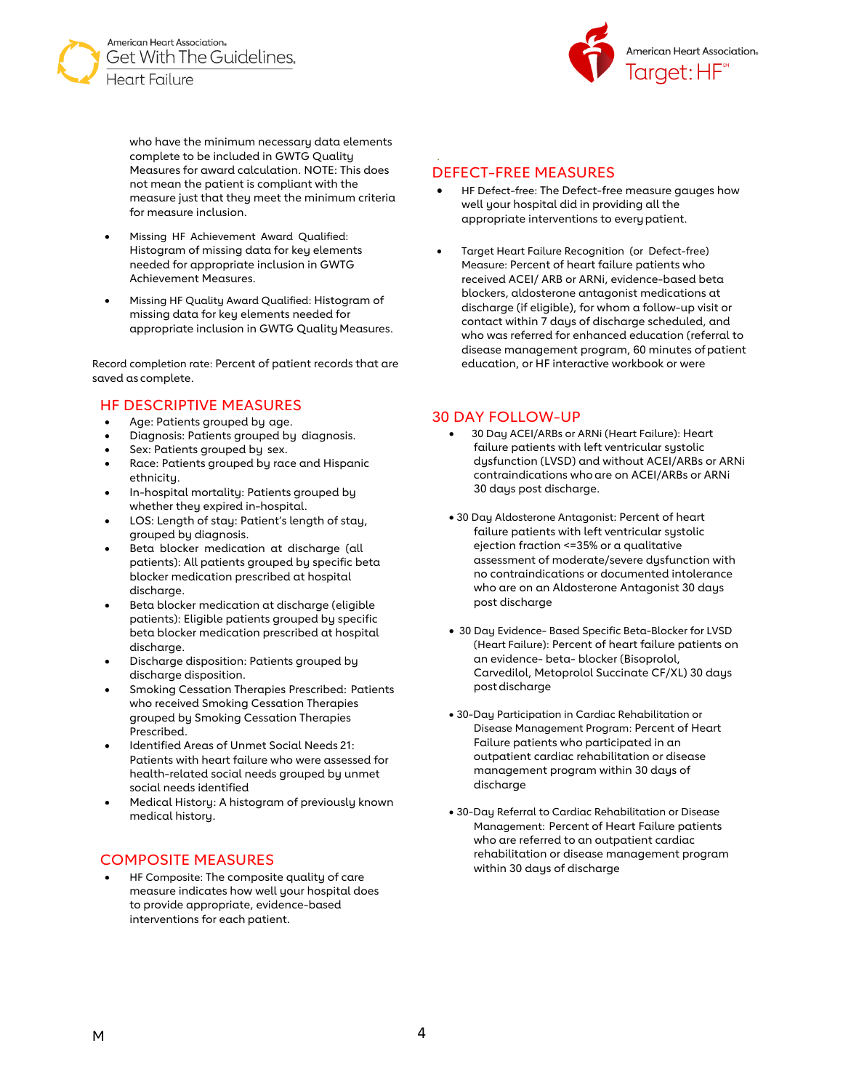



who have the minimum necessary data elements complete to be included in GWTG Quality Measures for award calculation. NOTE: This does not mean the patient is compliant with the measure just that they meet the minimum criteria for measure inclusion.

- Missing HF Achievement Award Qualified: Histogram of missing data for key elements needed for appropriate inclusion in GWTG Achievement Measures.
- Missing HF Quality Award Qualified: Histogram of missing data for key elements needed for appropriate inclusion in GWTG Quality Measures.

Record completion rate: Percent of patient records that are saved as complete.

# HF DESCRIPTIVE MEASURES

- Age: Patients grouped by age.
- Diagnosis: Patients grouped by diagnosis.
- Sex: Patients grouped by sex.
- Race: Patients grouped by race and Hispanic ethnicity.
- In-hospital mortality: Patients grouped by whether they expired in-hospital.
- LOS: Length of stay: Patient's length of stay, grouped by diagnosis.
- Beta blocker medication at discharge (all patients): All patients grouped by specific beta blocker medication prescribed at hospital discharge.
- Beta blocker medication at discharge (eligible patients): Eligible patients grouped by specific beta blocker medication prescribed at hospital discharge.
- Discharge disposition: Patients grouped by discharge disposition.
- Smoking Cessation Therapies Prescribed: Patients who received Smoking Cessation Therapies grouped by Smoking Cessation Therapies Prescribed.
- Identified Areas of Unmet Social Needs 21: Patients with heart failure who were assessed for health-related social needs grouped by unmet social needs identified
- Medical History: A histogram of previously known medical history.

# COMPOSITE MEASURES

• HF Composite: The composite quality of care measure indicates how well your hospital does to provide appropriate, evidence-based interventions for each patient.

### DEFECT-FREE MEASURES

.

- HF Defect-free: The Defect-free measure gauges how well your hospital did in providing all the appropriate interventions to everypatient.
- Target Heart Failure Recognition (or Defect-free) Measure: Percent of heart failure patients who received ACEI/ ARB or ARNi, evidence-based beta blockers, aldosterone antagonist medications at discharge (if eligible), for whom a follow-up visit or contact within 7 days of discharge scheduled, and who was referred for enhanced education (referral to disease management program, 60 minutes ofpatient education, or HF interactive workbook or were

# 30 DAY FOLLOW-UP

- 30 Day ACEI/ARBs or ARNi (Heart Failure): Heart failure patients with left ventricular systolic dysfunction (LVSD) and without ACEI/ARBs or ARNi contraindications whoare on ACEI/ARBs or ARNi 30 days post discharge.
- 30 Day Aldosterone Antagonist: Percent of heart failure patients with left ventricular systolic ejection fraction <=35% or a qualitative assessment of moderate/severe dysfunction with no contraindications or documented intolerance who are on an Aldosterone Antagonist 30 days post discharge
- 30 Day Evidence- Based Specific Beta-Blocker for LVSD (Heart Failure): Percent of heart failure patients on an evidence- beta- blocker (Bisoprolol, Carvedilol, Metoprolol Succinate CF/XL) 30 days postdischarge
- 30-Day Participation in Cardiac Rehabilitation or Disease Management Program: Percent of Heart Failure patients who participated in an outpatient cardiac rehabilitation or disease management program within 30 days of discharge
- 30-Day Referral to Cardiac Rehabilitation or Disease Management: Percent of Heart Failure patients who are referred to an outpatient cardiac rehabilitation or disease management program within 30 days of discharge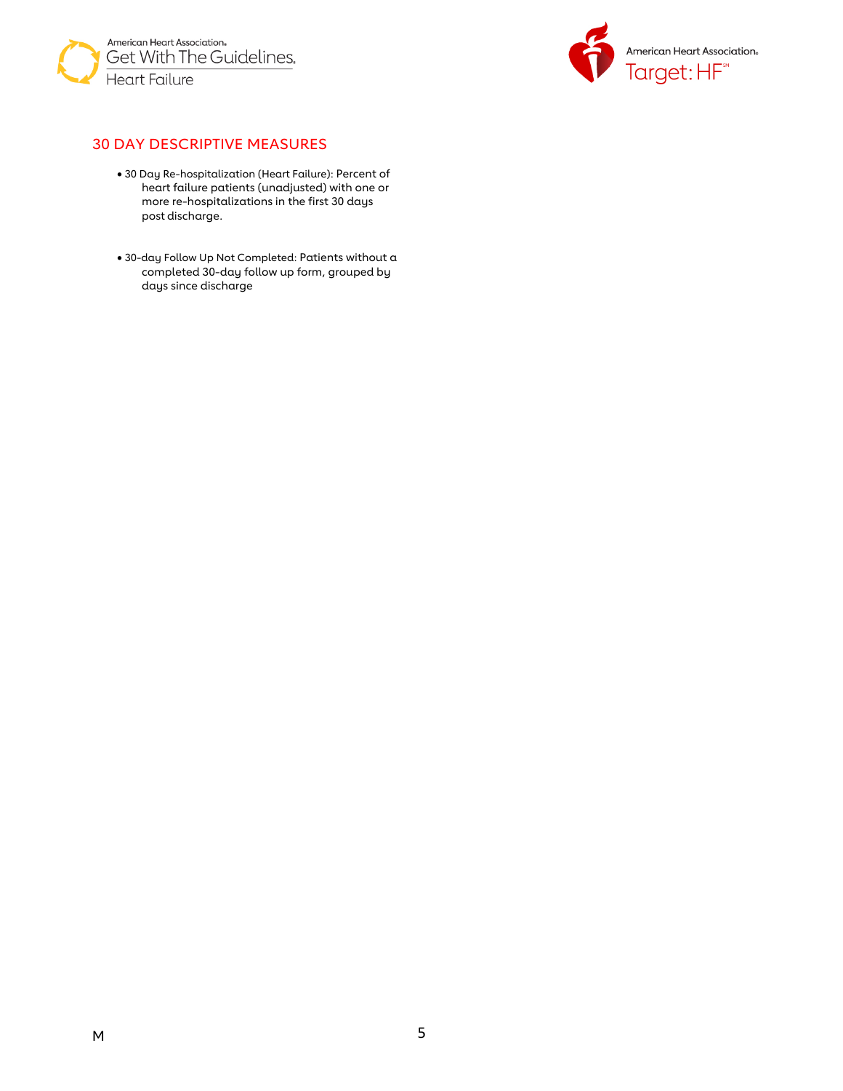



# 30 DAY DESCRIPTIVE MEASURES

- 30 Day Re-hospitalization (Heart Failure): Percent of heart failure patients (unadjusted) with one or more re-hospitalizations in the first 30 days post discharge.
- 30-day Follow Up Not Completed: Patients without a completed 30-day follow up form, grouped by days since discharge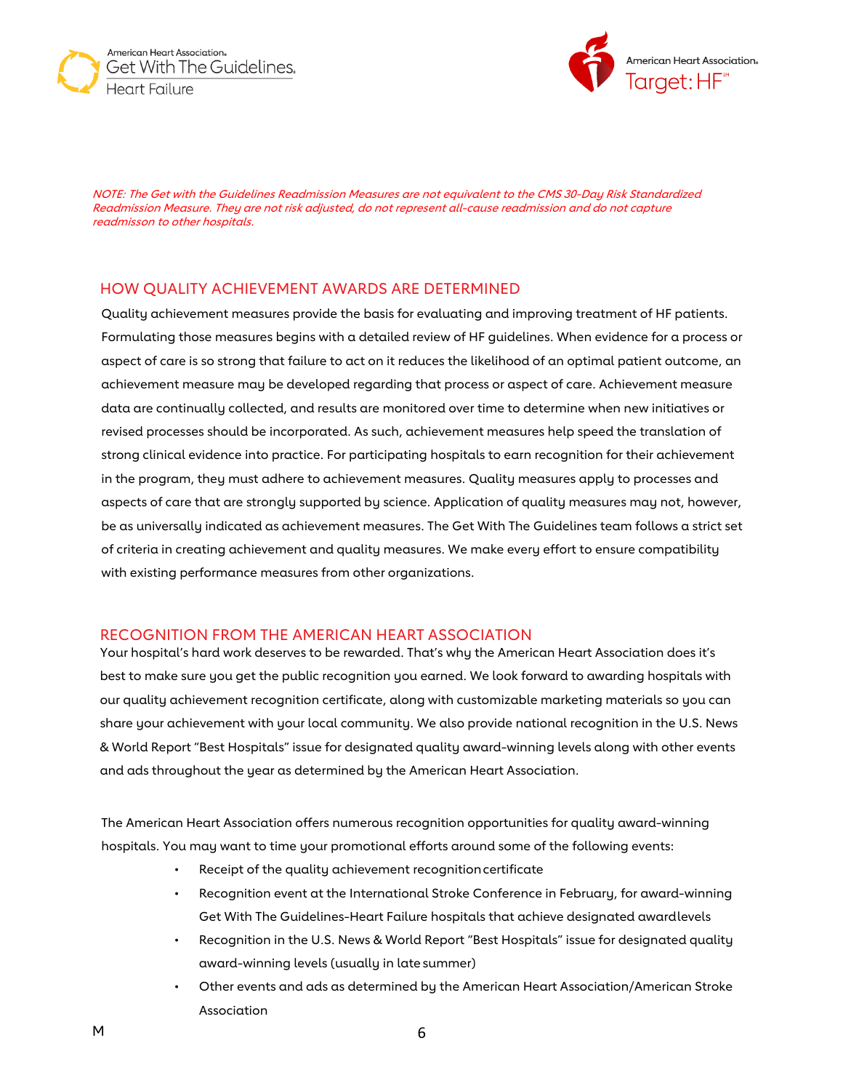



NOTE: The Get with the Guidelines Readmission Measures are not equivalent to the CMS 30-Day Risk Standardized Readmission Measure. They are not risk adjusted, do not represent all-cause readmission and do not capture readmisson to other hospitals.

### HOW QUALITY ACHIEVEMENT AWARDS ARE DETERMINED

Quality achievement measures provide the basis for evaluating and improving treatment of HF patients. Formulating those measures begins with a detailed review of HF guidelines. When evidence for a process or aspect of care is so strong that failure to act on it reduces the likelihood of an optimal patient outcome, an achievement measure may be developed regarding that process or aspect of care. Achievement measure data are continually collected, and results are monitored over time to determine when new initiatives or revised processes should be incorporated. As such, achievement measures help speed the translation of strong clinical evidence into practice. For participating hospitals to earn recognition for their achievement in the program, they must adhere to achievement measures. Quality measures apply to processes and aspects of care that are strongly supported by science. Application of quality measures may not, however, be as universally indicated as achievement measures. The Get With The Guidelines team follows a strict set of criteria in creating achievement and quality measures. We make every effort to ensure compatibility with existing performance measures from other organizations.

### RECOGNITION FROM THE AMERICAN HEART ASSOCIATION

Your hospital's hard work deserves to be rewarded. That's why the American Heart Association does it's best to make sure you get the public recognition you earned. We look forward to awarding hospitals with our quality achievement recognition certificate, along with customizable marketing materials so you can share your achievement with your local community. We also provide national recognition in the U.S. News & World Report "Best Hospitals" issue for designated quality award-winning levels along with other events and ads throughout the year as determined by the American Heart Association.

The American Heart Association offers numerous recognition opportunities for quality award-winning hospitals. You may want to time your promotional efforts around some of the following events:

- Receipt of the quality achievement recognition certificate
- Recognition event at the International Stroke Conference in February, for award-winning Get With The Guidelines-Heart Failure hospitals that achieve designated awardlevels
- Recognition in the U.S. News & World Report "Best Hospitals" issue for designated quality award-winning levels (usually in late summer)
- Other events and ads as determined by the American Heart Association/American Stroke Association